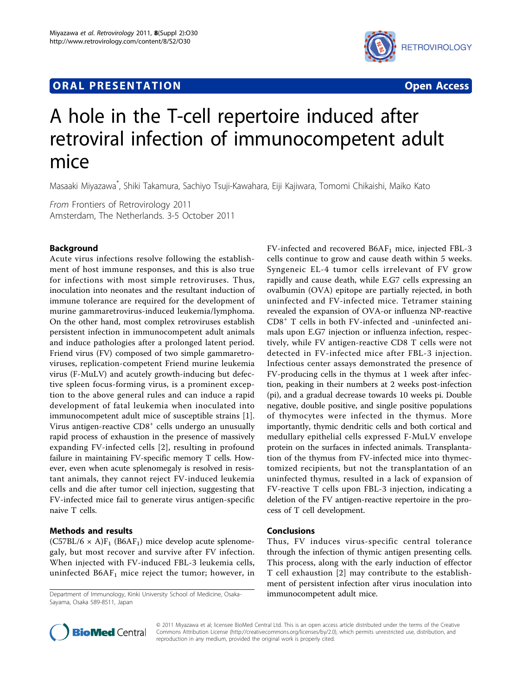# **ORAL PRESENTATION OPEN ACCESS**



# A hole in the T-cell repertoire induced after retroviral infection of immunocompetent adult mice

Masaaki Miyazawa<sup>\*</sup>, Shiki Takamura, Sachiyo Tsuji-Kawahara, Eiji Kajiwara, Tomomi Chikaishi, Maiko Kato

From Frontiers of Retrovirology 2011 Amsterdam, The Netherlands. 3-5 October 2011

## Background

Acute virus infections resolve following the establishment of host immune responses, and this is also true for infections with most simple retroviruses. Thus, inoculation into neonates and the resultant induction of immune tolerance are required for the development of murine gammaretrovirus-induced leukemia/lymphoma. On the other hand, most complex retroviruses establish persistent infection in immunocompetent adult animals and induce pathologies after a prolonged latent period. Friend virus (FV) composed of two simple gammaretroviruses, replication-competent Friend murine leukemia virus (F-MuLV) and acutely growth-inducing but defective spleen focus-forming virus, is a prominent exception to the above general rules and can induce a rapid development of fatal leukemia when inoculated into immunocompetent adult mice of susceptible strains [\[1](#page-1-0)]. Virus antigen-reactive CD8<sup>+</sup> cells undergo an unusually rapid process of exhaustion in the presence of massively expanding FV-infected cells [[2\]](#page-1-0), resulting in profound failure in maintaining FV-specific memory T cells. However, even when acute splenomegaly is resolved in resistant animals, they cannot reject FV-induced leukemia cells and die after tumor cell injection, suggesting that FV-infected mice fail to generate virus antigen-specific naive T cells.

# Methods and results

 $(C57BL/6 \times A)F_1$  (B6AF<sub>1</sub>) mice develop acute splenomegaly, but most recover and survive after FV infection. When injected with FV-induced FBL-3 leukemia cells, uninfected  $B6AF<sub>1</sub>$  mice reject the tumor; however, in

Department of Immunology, Kinki University School of Medicine, Osaka- immunocompetent adult mice. Sayama, Osaka 589-8511, Japan

FV-infected and recovered  $B6AF<sub>1</sub>$  mice, injected FBL-3 cells continue to grow and cause death within 5 weeks. Syngeneic EL-4 tumor cells irrelevant of FV grow rapidly and cause death, while E.G7 cells expressing an ovalbumin (OVA) epitope are partially rejected, in both uninfected and FV-infected mice. Tetramer staining revealed the expansion of OVA-or influenza NP-reactive CD8<sup>+</sup> T cells in both FV-infected and -uninfected animals upon E.G7 injection or influenza infection, respectively, while FV antigen-reactive CD8 T cells were not detected in FV-infected mice after FBL-3 injection. Infectious center assays demonstrated the presence of FV-producing cells in the thymus at 1 week after infection, peaking in their numbers at 2 weeks post-infection (pi), and a gradual decrease towards 10 weeks pi. Double negative, double positive, and single positive populations of thymocytes were infected in the thymus. More importantly, thymic dendritic cells and both cortical and medullary epithelial cells expressed F-MuLV envelope protein on the surfaces in infected animals. Transplantation of the thymus from FV-infected mice into thymectomized recipients, but not the transplantation of an uninfected thymus, resulted in a lack of expansion of FV-reactive T cells upon FBL-3 injection, indicating a deletion of the FV antigen-reactive repertoire in the process of T cell development.

## Conclusions

Thus, FV induces virus-specific central tolerance through the infection of thymic antigen presenting cells. This process, along with the early induction of effector T cell exhaustion [[2](#page-1-0)] may contribute to the establishment of persistent infection after virus inoculation into



© 2011 Miyazawa et al; licensee BioMed Central Ltd. This is an open access article distributed under the terms of the Creative Commons Attribution License [\(http://creativecommons.org/licenses/by/2.0](http://creativecommons.org/licenses/by/2.0)), which permits unrestricted use, distribution, and reproduction in any medium, provided the original work is properly cited.